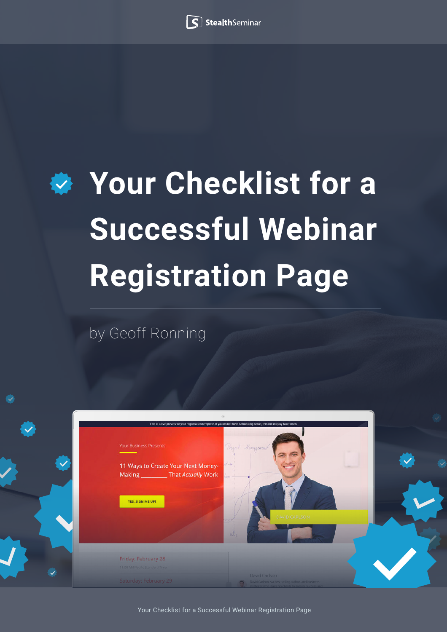

## *W* Your Checklist for a **Successful Webinar Registration Page**

by Geoff Ronning



Your Checklist for a Successful Webinar Registration Page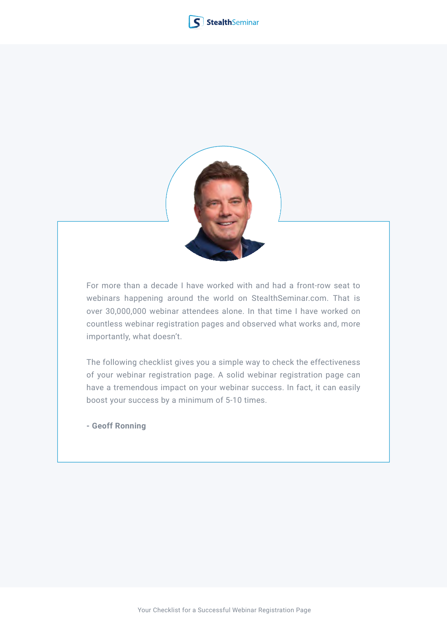



For more than a decade I have worked with and had a front-row seat to webinars happening around the world on StealthSeminar.com. That is over 30,000,000 webinar attendees alone. In that time I have worked on countless webinar registration pages and observed what works and, more importantly, what doesn't.

The following checklist gives you a simple way to check the effectiveness of your webinar registration page. A solid webinar registration page can have a tremendous impact on your webinar success. In fact, it can easily boost your success by a minimum of 5-10 times.

**- Geoff Ronning**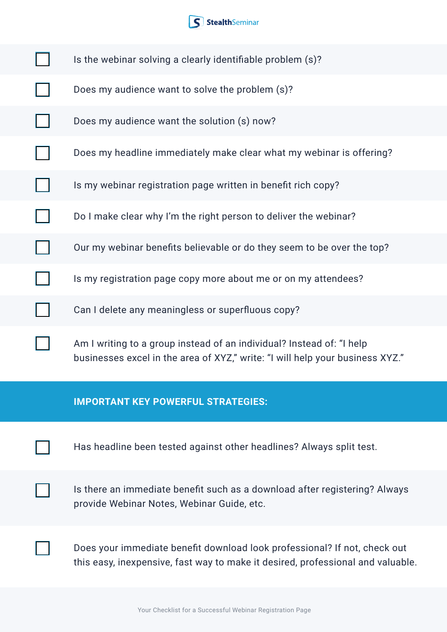## S StealthSeminar

| Is the webinar solving a clearly identifiable problem (s)?                                                                                             |
|--------------------------------------------------------------------------------------------------------------------------------------------------------|
| Does my audience want to solve the problem (s)?                                                                                                        |
| Does my audience want the solution (s) now?                                                                                                            |
| Does my headline immediately make clear what my webinar is offering?                                                                                   |
| Is my webinar registration page written in benefit rich copy?                                                                                          |
| Do I make clear why I'm the right person to deliver the webinar?                                                                                       |
| Our my webinar benefits believable or do they seem to be over the top?                                                                                 |
| Is my registration page copy more about me or on my attendees?                                                                                         |
| Can I delete any meaningless or superfluous copy?                                                                                                      |
| Am I writing to a group instead of an individual? Instead of: "I help<br>businesses excel in the area of XYZ," write: "I will help your business XYZ." |
| <b>IMPORTANT KEY POWERFUL STRATEGIES:</b>                                                                                                              |
|                                                                                                                                                        |
| Has headline been tested against other headlines? Always split test.                                                                                   |
| Is there an immediate benefit such as a download after registering? Always<br>provide Webinar Notes, Webinar Guide, etc.                               |